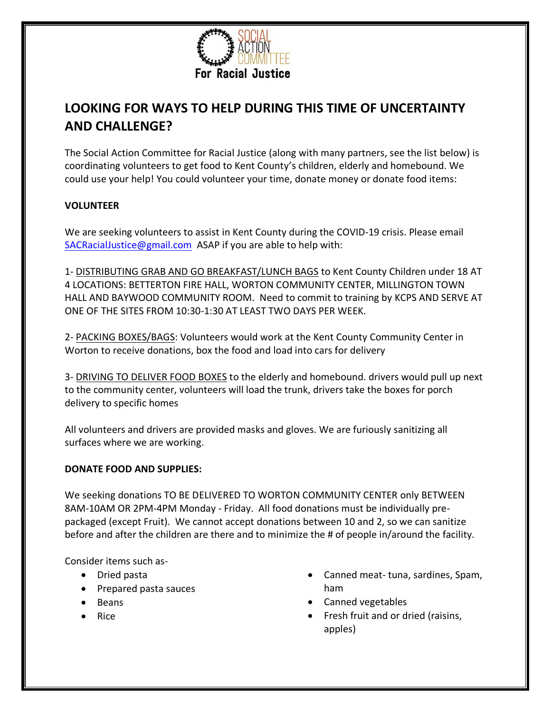

# **LOOKING FOR WAYS TO HELP DURING THIS TIME OF UNCERTAINTY AND CHALLENGE?**

The Social Action Committee for Racial Justice (along with many partners, see the list below) is coordinating volunteers to get food to Kent County's children, elderly and homebound. We could use your help! You could volunteer your time, donate money or donate food items:

## **VOLUNTEER**

We are seeking volunteers to assist in Kent County during the COVID-19 crisis. Please email SACRacialJustice@gmail.com ASAP if you are able to help with:

1- DISTRIBUTING GRAB AND GO BREAKFAST/LUNCH BAGS to Kent County Children under 18 AT 4 LOCATIONS: BETTERTON FIRE HALL, WORTON COMMUNITY CENTER, MILLINGTON TOWN HALL AND BAYWOOD COMMUNITY ROOM. Need to commit to training by KCPS AND SERVE AT ONE OF THE SITES FROM 10:30-1:30 AT LEAST TWO DAYS PER WEEK.

2- PACKING BOXES/BAGS: Volunteers would work at the Kent County Community Center in Worton to receive donations, box the food and load into cars for delivery

3- DRIVING TO DELIVER FOOD BOXES to the elderly and homebound. drivers would pull up next to the community center, volunteers will load the trunk, drivers take the boxes for porch delivery to specific homes

All volunteers and drivers are provided masks and gloves. We are furiously sanitizing all surfaces where we are working.

## **DONATE FOOD AND SUPPLIES:**

We seeking donations TO BE DELIVERED TO WORTON COMMUNITY CENTER only BETWEEN 8AM-10AM OR 2PM-4PM Monday - Friday. All food donations must be individually prepackaged (except Fruit). We cannot accept donations between 10 and 2, so we can sanitize before and after the children are there and to minimize the # of people in/around the facility.

Consider items such as-

- Dried pasta
- Prepared pasta sauces
- Beans
- Rice
- Canned meat- tuna, sardines, Spam, ham
- Canned vegetables
- Fresh fruit and or dried (raisins, apples)